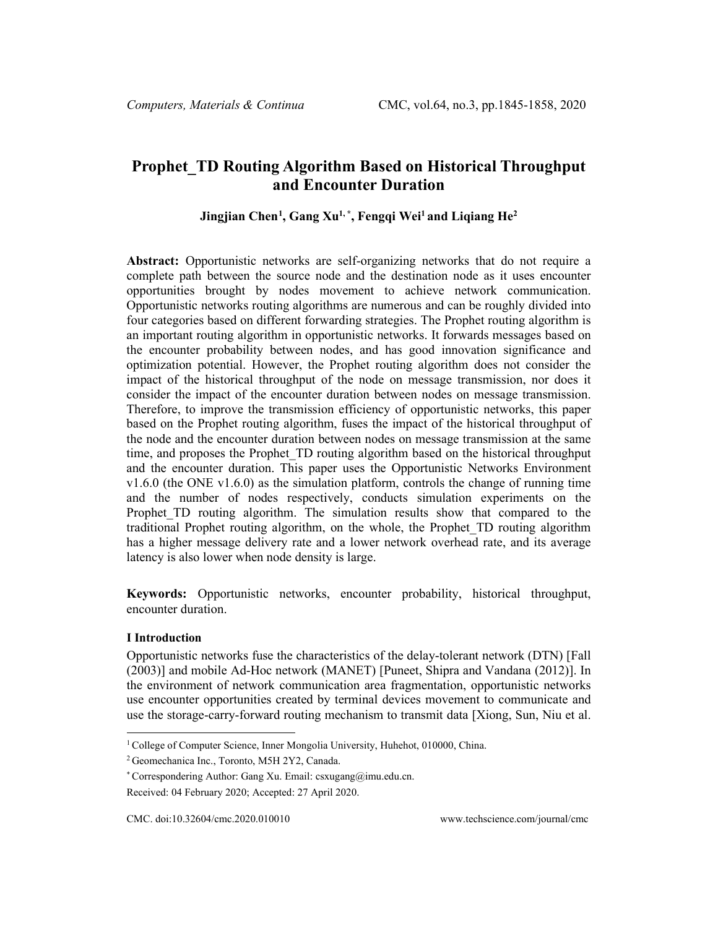# **Prophet\_TD Routing Algorithm Based on Historical Throughput and Encounter Duration**

## **Jingjian Chen[1](#page-0-0) , Gang Xu1, \*, Fengqi Wei1 and Liqiang He2**

**Abstract:** Opportunistic networks are self-organizing networks that do not require a complete path between the source node and the destination node as it uses encounter opportunities brought by nodes movement to achieve network communication. Opportunistic networks routing algorithms are numerous and can be roughly divided into four categories based on different forwarding strategies. The Prophet routing algorithm is an important routing algorithm in opportunistic networks. It forwards messages based on the encounter probability between nodes, and has good innovation significance and optimization potential. However, the Prophet routing algorithm does not consider the impact of the historical throughput of the node on message transmission, nor does it consider the impact of the encounter duration between nodes on message transmission. Therefore, to improve the transmission efficiency of opportunistic networks, this paper based on the Prophet routing algorithm, fuses the impact of the historical throughput of the node and the encounter duration between nodes on message transmission at the same time, and proposes the Prophet\_TD routing algorithm based on the historical throughput and the encounter duration. This paper uses the Opportunistic Networks Environment v1.6.0 (the ONE v1.6.0) as the simulation platform, controls the change of running time and the number of nodes respectively, conducts simulation experiments on the Prophet TD routing algorithm. The simulation results show that compared to the traditional Prophet routing algorithm, on the whole, the Prophet\_TD routing algorithm has a higher message delivery rate and a lower network overhead rate, and its average latency is also lower when node density is large.

**Keywords:** Opportunistic networks, encounter probability, historical throughput, encounter duration.

### **I Introduction**

Opportunistic networks fuse the characteristics of the delay-tolerant network (DTN) [Fall (2003)] and mobile Ad-Hoc network (MANET) [Puneet, Shipra and Vandana (2012)]. In the environment of network communication area fragmentation, opportunistic networks use encounter opportunities created by terminal devices movement to communicate and use the storage-carry-forward routing mechanism to transmit data [Xiong, Sun, Niu et al.

<span id="page-0-0"></span><sup>&</sup>lt;sup>1</sup> College of Computer Science, Inner Mongolia University, Huhehot, 010000, China.

<sup>2</sup> Geomechanica Inc., Toronto, M5H 2Y2, Canada.

<sup>\*</sup> Correspondering Author: Gang Xu. Email: csxugang@imu.edu.cn.

Received: 04 February 2020; Accepted: 27 April 2020.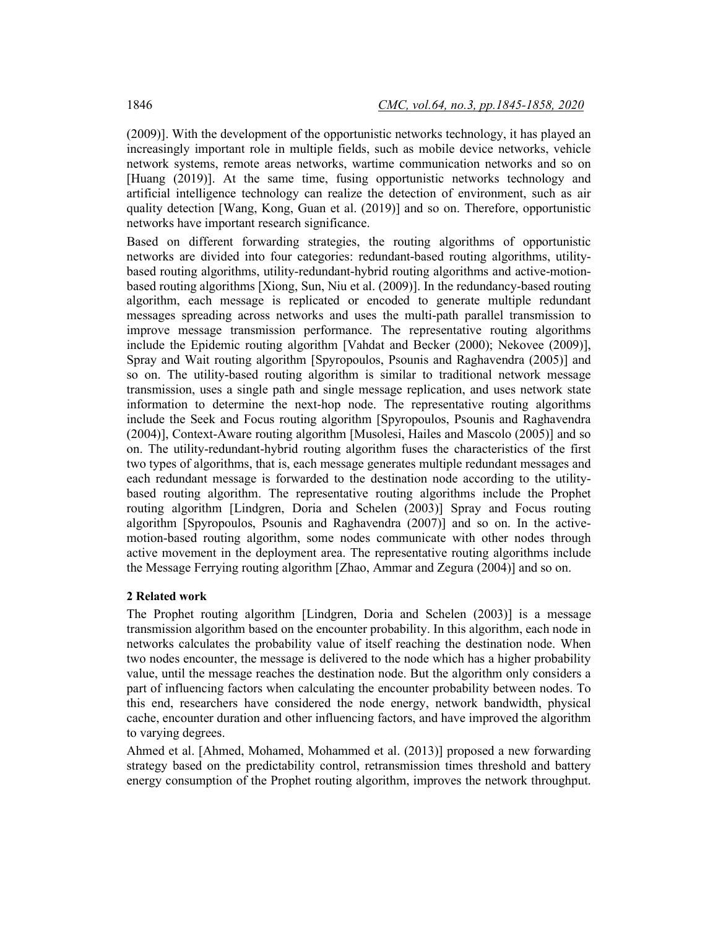(2009)]. With the development of the opportunistic networks technology, it has played an increasingly important role in multiple fields, such as mobile device networks, vehicle network systems, remote areas networks, wartime communication networks and so on [Huang (2019)]. At the same time, fusing opportunistic networks technology and artificial intelligence technology can realize the detection of environment, such as air quality detection [Wang, Kong, Guan et al. (2019)] and so on. Therefore, opportunistic networks have important research significance.

Based on different forwarding strategies, the routing algorithms of opportunistic networks are divided into four categories: redundant-based routing algorithms, utilitybased routing algorithms, utility-redundant-hybrid routing algorithms and active-motionbased routing algorithms [Xiong, Sun, Niu et al. (2009)]. In the redundancy-based routing algorithm, each message is replicated or encoded to generate multiple redundant messages spreading across networks and uses the multi-path parallel transmission to improve message transmission performance. The representative routing algorithms include the Epidemic routing algorithm [Vahdat and Becker (2000); Nekovee (2009)], Spray and Wait routing algorithm [Spyropoulos, Psounis and Raghavendra (2005)] and so on. The utility-based routing algorithm is similar to traditional network message transmission, uses a single path and single message replication, and uses network state information to determine the next-hop node. The representative routing algorithms include the Seek and Focus routing algorithm [Spyropoulos, Psounis and Raghavendra (2004)], Context-Aware routing algorithm [Musolesi, Hailes and Mascolo (2005)] and so on. The utility-redundant-hybrid routing algorithm fuses the characteristics of the first two types of algorithms, that is, each message generates multiple redundant messages and each redundant message is forwarded to the destination node according to the utilitybased routing algorithm. The representative routing algorithms include the Prophet routing algorithm [Lindgren, Doria and Schelen (2003)] Spray and Focus routing algorithm [Spyropoulos, Psounis and Raghavendra (2007)] and so on. In the activemotion-based routing algorithm, some nodes communicate with other nodes through active movement in the deployment area. The representative routing algorithms include the Message Ferrying routing algorithm [Zhao, Ammar and Zegura (2004)] and so on.

#### **2 Related work**

The Prophet routing algorithm [Lindgren, Doria and Schelen (2003)] is a message transmission algorithm based on the encounter probability. In this algorithm, each node in networks calculates the probability value of itself reaching the destination node. When two nodes encounter, the message is delivered to the node which has a higher probability value, until the message reaches the destination node. But the algorithm only considers a part of influencing factors when calculating the encounter probability between nodes. To this end, researchers have considered the node energy, network bandwidth, physical cache, encounter duration and other influencing factors, and have improved the algorithm to varying degrees.

Ahmed et al. [Ahmed, Mohamed, Mohammed et al. (2013)] proposed a new forwarding strategy based on the predictability control, retransmission times threshold and battery energy consumption of the Prophet routing algorithm, improves the network throughput.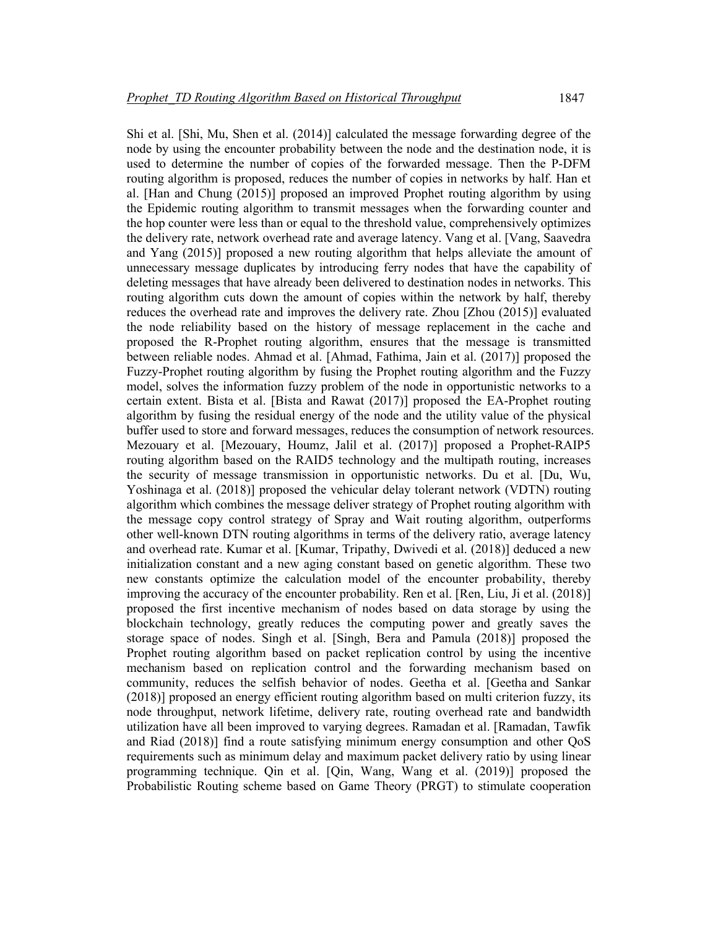Shi et al. [Shi, Mu, Shen et al. (2014)] calculated the message forwarding degree of the node by using the encounter probability between the node and the destination node, it is used to determine the number of copies of the forwarded message. Then the P-DFM routing algorithm is proposed, reduces the number of copies in networks by half. Han et al. [Han and Chung (2015)] proposed an improved Prophet routing algorithm by using the Epidemic routing algorithm to transmit messages when the forwarding counter and the hop counter were less than or equal to the threshold value, comprehensively optimizes the delivery rate, network overhead rate and average latency. Vang et al. [Vang, Saavedra and Yang (2015)] proposed a new routing algorithm that helps alleviate the amount of unnecessary message duplicates by introducing ferry nodes that have the capability of deleting messages that have already been delivered to destination nodes in networks. This routing algorithm cuts down the amount of copies within the network by half, thereby reduces the overhead rate and improves the delivery rate. Zhou [Zhou (2015)] evaluated the node reliability based on the history of message replacement in the cache and proposed the R-Prophet routing algorithm, ensures that the message is transmitted between reliable nodes. Ahmad et al. [Ahmad, Fathima, Jain et al. (2017)] proposed the Fuzzy-Prophet routing algorithm by fusing the Prophet routing algorithm and the Fuzzy model, solves the information fuzzy problem of the node in opportunistic networks to a certain extent. Bista et al. [Bista and Rawat (2017)] proposed the EA-Prophet routing algorithm by fusing the residual energy of the node and the utility value of the physical buffer used to store and forward messages, reduces the consumption of network resources. Mezouary et al. [Mezouary, Houmz, Jalil et al. (2017)] proposed a Prophet-RAIP5 routing algorithm based on the RAID5 technology and the multipath routing, increases the security of message transmission in opportunistic networks. Du et al. [Du, Wu, Yoshinaga et al. (2018)] proposed the vehicular delay tolerant network (VDTN) routing algorithm which combines the message deliver strategy of Prophet routing algorithm with the message copy control strategy of Spray and Wait routing algorithm, outperforms other well-known DTN routing algorithms in terms of the delivery ratio, average latency and overhead rate. Kumar et al. [Kumar, Tripathy, Dwivedi et al. (2018)] deduced a new initialization constant and a new aging constant based on genetic algorithm. These two new constants optimize the calculation model of the encounter probability, thereby improving the accuracy of the encounter probability. Ren et al. [Ren, Liu, Ji et al. (2018)] proposed the first incentive mechanism of nodes based on data storage by using the blockchain technology, greatly reduces the computing power and greatly saves the storage space of nodes. Singh et al. [Singh, Bera and Pamula (2018)] proposed the Prophet routing algorithm based on packet replication control by using the incentive mechanism based on replication control and the forwarding mechanism based on community, reduces the selfish behavior of nodes. Geetha et al. [Geetha and Sankar (2018)] proposed an energy efficient routing algorithm based on multi criterion fuzzy, its node throughput, network lifetime, delivery rate, routing overhead rate and bandwidth utilization have all been improved to varying degrees. Ramadan et al. [Ramadan, Tawfik and Riad (2018)] find a route satisfying minimum energy consumption and other QoS requirements such as minimum delay and maximum packet delivery ratio by using linear programming technique. Qin et al. [Qin, Wang, Wang et al. (2019)] proposed the Probabilistic Routing scheme based on Game Theory (PRGT) to stimulate cooperation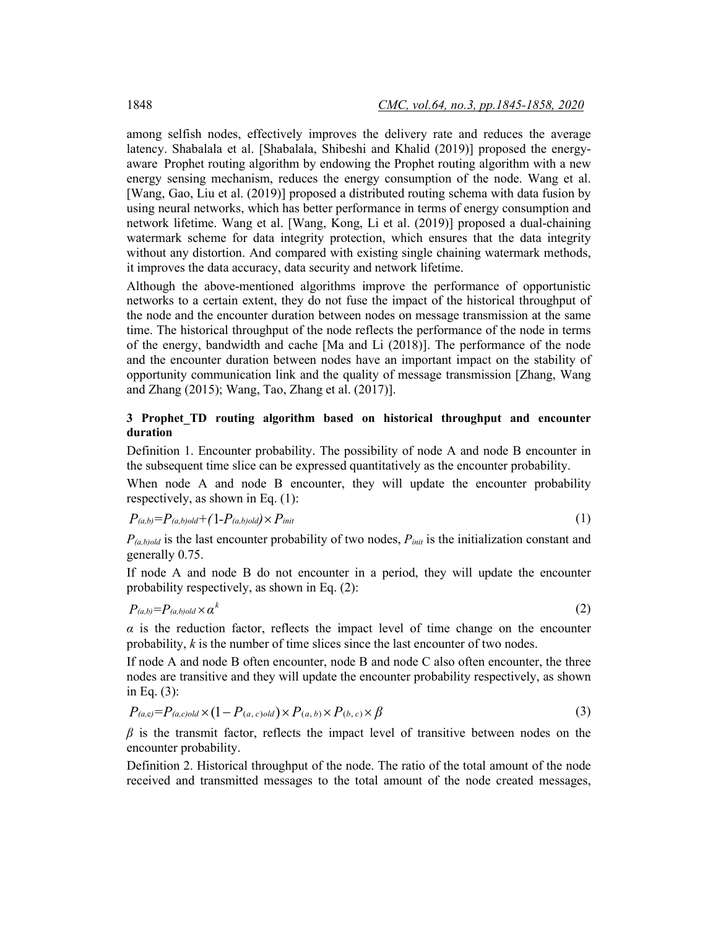among selfish nodes, effectively improves the delivery rate and reduces the average latency. Shabalala et al. [Shabalala, Shibeshi and Khalid (2019)] proposed the energyaware Prophet routing algorithm by endowing the Prophet routing algorithm with a new energy sensing mechanism, reduces the energy consumption of the node. Wang et al. [Wang, Gao, Liu et al. (2019)] proposed a distributed routing schema with data fusion by using neural networks, which has better performance in terms of energy consumption and network lifetime. Wang et al. [Wang, Kong, Li et al. (2019)] proposed a dual-chaining watermark scheme for data integrity protection, which ensures that the data integrity without any distortion. And compared with existing single chaining watermark methods, it improves the data accuracy, data security and network lifetime.

Although the above-mentioned algorithms improve the performance of opportunistic networks to a certain extent, they do not fuse the impact of the historical throughput of the node and the encounter duration between nodes on message transmission at the same time. The historical throughput of the node reflects the performance of the node in terms of the energy, bandwidth and cache [Ma and Li (2018)]. The performance of the node and the encounter duration between nodes have an important impact on the stability of opportunity communication link and the quality of message transmission [Zhang, Wang and Zhang (2015); Wang, Tao, Zhang et al. (2017)].

# **3 Prophet\_TD routing algorithm based on historical throughput and encounter duration**

Definition 1. Encounter probability. The possibility of node A and node B encounter in the subsequent time slice can be expressed quantitatively as the encounter probability.

When node A and node B encounter, they will update the encounter probability respectively, as shown in Eq. (1):

$$
P_{(a,b)} = P_{(a,b)old} + (1 - P_{(a,b)old}) \times P_{init} \tag{1}
$$

 $P_{(a,b)old}$  is the last encounter probability of two nodes,  $P_{init}$  is the initialization constant and generally 0.75.

If node A and node B do not encounter in a period, they will update the encounter probability respectively, as shown in Eq. (2):

$$
P_{(a,b)} = P_{(a,b)old} \times \alpha^k \tag{2}
$$

 $\alpha$  is the reduction factor, reflects the impact level of time change on the encounter probability, *k* is the number of time slices since the last encounter of two nodes.

If node A and node B often encounter, node B and node C also often encounter, the three nodes are transitive and they will update the encounter probability respectively, as shown in Eq. (3):

$$
P_{(a,c)} = P_{(a,c)old} \times (1 - P_{(a,c)old}) \times P_{(a,b)} \times P_{(b,c)} \times \beta
$$
\n(3)

*β* is the transmit factor, reflects the impact level of transitive between nodes on the encounter probability.

Definition 2. Historical throughput of the node. The ratio of the total amount of the node received and transmitted messages to the total amount of the node created messages,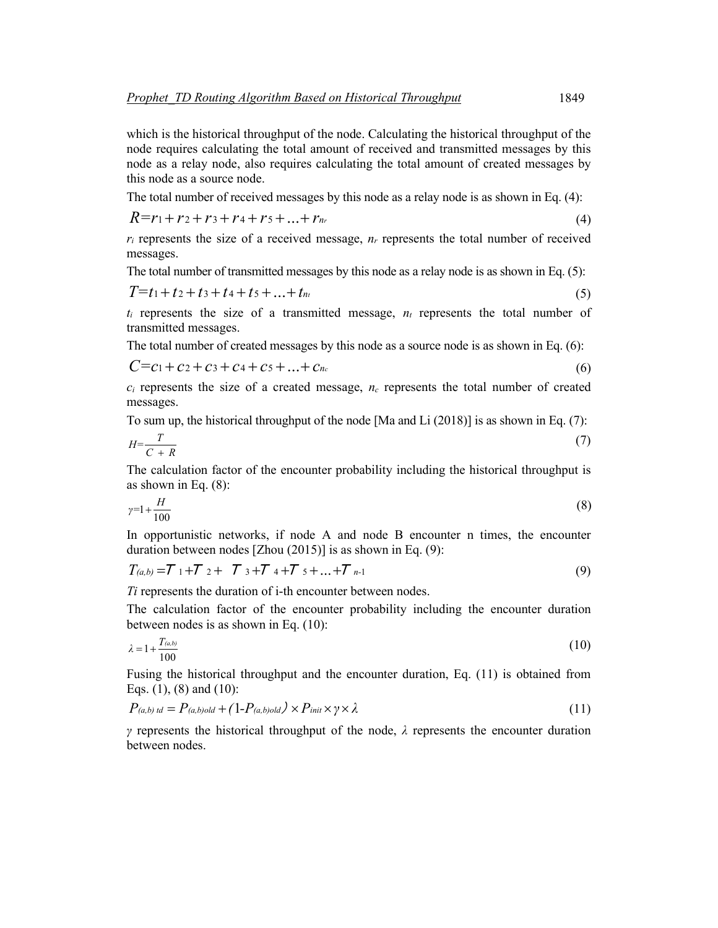which is the historical throughput of the node. Calculating the historical throughput of the node requires calculating the total amount of received and transmitted messages by this node as a relay node, also requires calculating the total amount of created messages by this node as a source node.

The total number of received messages by this node as a relay node is as shown in Eq. (4):

$$
R = r_1 + r_2 + r_3 + r_4 + r_5 + \dots + r_n \tag{4}
$$

 $r_i$  represents the size of a received message,  $n_r$  represents the total number of received messages.

The total number of transmitted messages by this node as a relay node is as shown in Eq. (5):

$$
T = t_1 + t_2 + t_3 + t_4 + t_5 + \dots + t_n \tag{5}
$$

 $t_i$  represents the size of a transmitted message,  $n_i$  represents the total number of transmitted messages.

The total number of created messages by this node as a source node is as shown in Eq. (6):

$$
C = c_1 + c_2 + c_3 + c_4 + c_5 + \dots + c_n \tag{6}
$$

 $c_i$  represents the size of a created message,  $n_c$  represents the total number of created messages.

To sum up, the historical throughput of the node [Ma and Li (2018)] is as shown in Eq. (7):

$$
H = \frac{T}{C + R} \tag{7}
$$

The calculation factor of the encounter probability including the historical throughput is as shown in Eq. (8):

$$
\gamma = 1 + \frac{H}{100} \tag{8}
$$

In opportunistic networks, if node A and node B encounter n times, the encounter duration between nodes [Zhou (2015)] is as shown in Eq. (9):

$$
T_{(a,b)} = T_1 + T_2 + T_3 + T_4 + T_5 + \dots + T_{n-1}
$$
\n(9)

*Ti* represents the duration of i-th encounter between nodes.

The calculation factor of the encounter probability including the encounter duration between nodes is as shown in Eq. (10):

$$
\lambda = 1 + \frac{T_{(a,b)}}{100} \tag{10}
$$

Fusing the historical throughput and the encounter duration, Eq. (11) is obtained from Eqs. (1), (8) and (10):

$$
P_{(a,b) \, td} = P_{(a,b) \, old} + (1 - P_{(a,b) \, old}) \times P_{\text{init}} \times \gamma \times \lambda \tag{11}
$$

*γ* represents the historical throughput of the node, *λ* represents the encounter duration between nodes.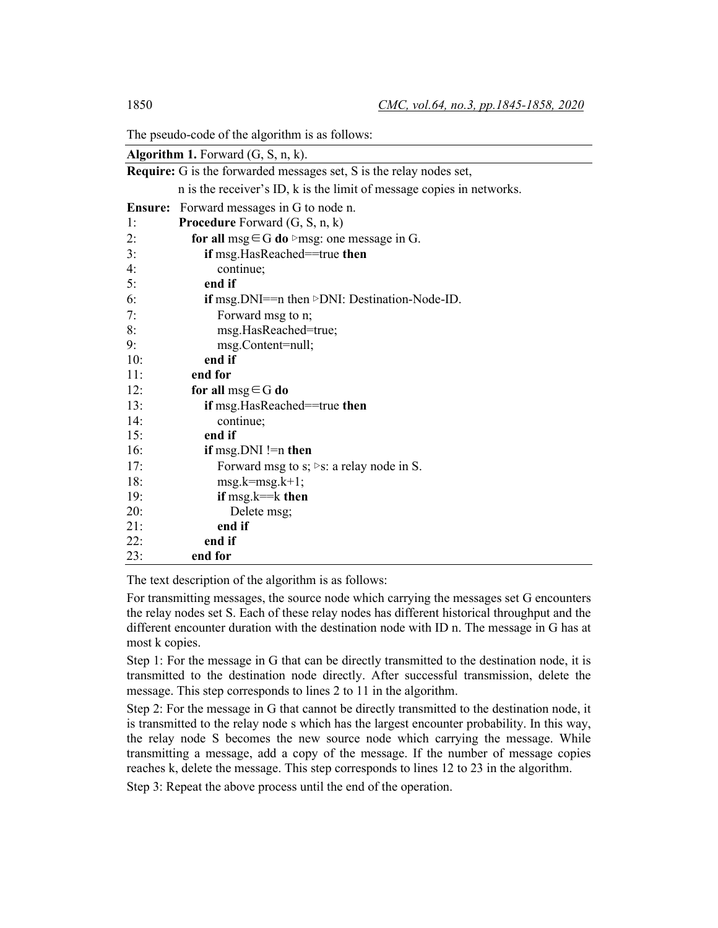The pseudo-code of the algorithm is as follows:

| <b>Algorithm 1.</b> Forward $(G, S, n, k)$ .                               |                                                                       |  |  |  |
|----------------------------------------------------------------------------|-----------------------------------------------------------------------|--|--|--|
| <b>Require:</b> G is the forwarded messages set, S is the relay nodes set, |                                                                       |  |  |  |
|                                                                            | n is the receiver's ID, k is the limit of message copies in networks. |  |  |  |
| <b>Ensure:</b>                                                             | Forward messages in G to node n.                                      |  |  |  |
| 1:                                                                         | <b>Procedure</b> Forward $(G, S, n, k)$                               |  |  |  |
| 2:                                                                         | for all msg $\in$ G do $\triangleright$ msg: one message in G.        |  |  |  |
| 3:                                                                         | if msg.HasReached==true then                                          |  |  |  |
| 4:                                                                         | continue;                                                             |  |  |  |
| 5:                                                                         | end if                                                                |  |  |  |
| 6:                                                                         | if msg.DNI== $n$ then $\triangleright$ DNI: Destination-Node-ID.      |  |  |  |
| 7:                                                                         | Forward msg to n;                                                     |  |  |  |
| 8:                                                                         | msg.HasReached=true;                                                  |  |  |  |
| 9:                                                                         | msg.Content=null;                                                     |  |  |  |
| 10:                                                                        | end if                                                                |  |  |  |
| 11:                                                                        | end for                                                               |  |  |  |
| 12:                                                                        | for all $msg \in G$ do                                                |  |  |  |
| 13:                                                                        | <b>if</b> msg.HasReached==true <b>then</b>                            |  |  |  |
| 14:                                                                        | continue;                                                             |  |  |  |
| 15:                                                                        | end if                                                                |  |  |  |
| 16:                                                                        | if msg.DNI != n then                                                  |  |  |  |
| 17:                                                                        | Forward msg to s; $\triangleright$ s: a relay node in S.              |  |  |  |
| 18:                                                                        | $msg.k=msg.k+1;$                                                      |  |  |  |
| 19:                                                                        | if $msg.k = k$ then                                                   |  |  |  |
| 20:                                                                        | Delete msg;                                                           |  |  |  |
| 21:                                                                        | end if                                                                |  |  |  |
| 22:                                                                        | end if                                                                |  |  |  |
| 23:                                                                        | end for                                                               |  |  |  |

The text description of the algorithm is as follows:

For transmitting messages, the source node which carrying the messages set G encounters the relay nodes set S. Each of these relay nodes has different historical throughput and the different encounter duration with the destination node with ID n. The message in G has at most k copies.

Step 1: For the message in G that can be directly transmitted to the destination node, it is transmitted to the destination node directly. After successful transmission, delete the message. This step corresponds to lines 2 to 11 in the algorithm.

Step 2: For the message in G that cannot be directly transmitted to the destination node, it is transmitted to the relay node s which has the largest encounter probability. In this way, the relay node S becomes the new source node which carrying the message. While transmitting a message, add a copy of the message. If the number of message copies reaches k, delete the message. This step corresponds to lines 12 to 23 in the algorithm.

Step 3: Repeat the above process until the end of the operation.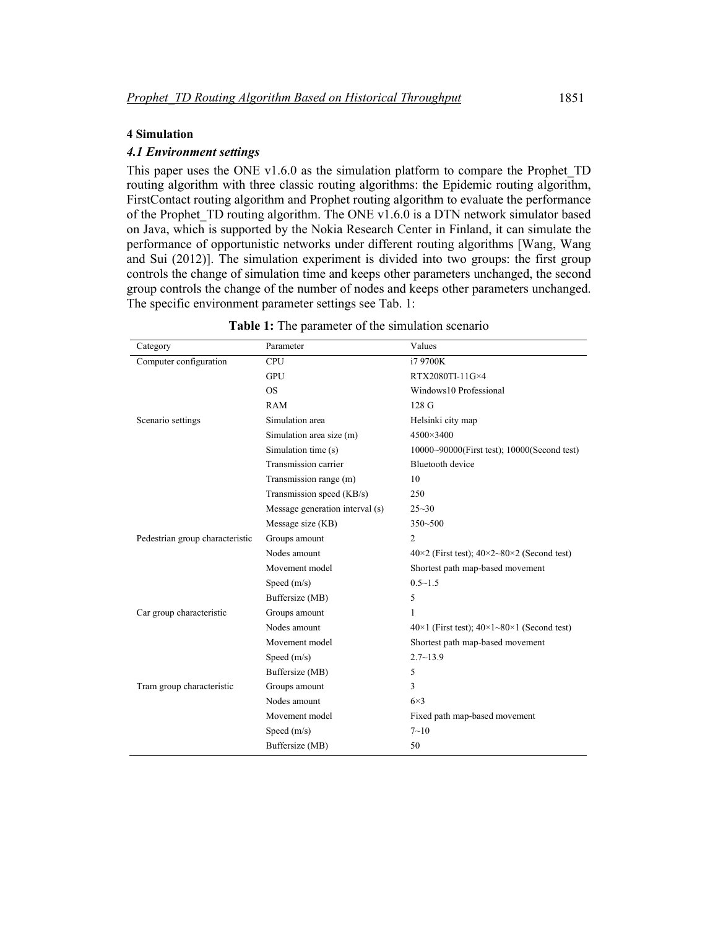#### **4 Simulation**

# *4.1 Environment settings*

This paper uses the ONE v1.6.0 as the simulation platform to compare the Prophet\_TD routing algorithm with three classic routing algorithms: the Epidemic routing algorithm, FirstContact routing algorithm and Prophet routing algorithm to evaluate the performance of the Prophet TD routing algorithm. The ONE v1.6.0 is a DTN network simulator based on Java, which is supported by the Nokia Research Center in Finland, it can simulate the performance of opportunistic networks under different routing algorithms [Wang, Wang and Sui (2012)]. The simulation experiment is divided into two groups: the first group controls the change of simulation time and keeps other parameters unchanged, the second group controls the change of the number of nodes and keeps other parameters unchanged. The specific environment parameter settings see Tab. 1:

| Category                        | Parameter                       | Values                                                             |
|---------------------------------|---------------------------------|--------------------------------------------------------------------|
| Computer configuration          | <b>CPU</b>                      | i7 9700K                                                           |
|                                 | <b>GPU</b>                      | RTX2080TI-11G×4                                                    |
|                                 | <b>OS</b>                       | Windows10 Professional                                             |
|                                 | <b>RAM</b>                      | 128 <sub>G</sub>                                                   |
| Scenario settings               | Simulation area                 | Helsinki city map                                                  |
|                                 | Simulation area size (m)        | 4500×3400                                                          |
|                                 | Simulation time (s)             | 10000~90000(First test); 10000(Second test)                        |
|                                 | Transmission carrier            | Bluetooth device                                                   |
|                                 | Transmission range (m)          | 10                                                                 |
|                                 | Transmission speed (KB/s)       | 250                                                                |
|                                 | Message generation interval (s) | $25 - 30$                                                          |
|                                 | Message size (KB)               | $350 - 500$                                                        |
| Pedestrian group characteristic | Groups amount                   | 2                                                                  |
|                                 | Nodes amount                    | $40\times2$ (First test); $40\times2\times80\times2$ (Second test) |
|                                 | Movement model                  | Shortest path map-based movement                                   |
|                                 | Speed $(m/s)$                   | $0.5 - 1.5$                                                        |
|                                 | Buffersize (MB)                 | 5                                                                  |
| Car group characteristic        | Groups amount                   | 1                                                                  |
|                                 | Nodes amount                    | $40\times1$ (First test); $40\times1-80\times1$ (Second test)      |
|                                 | Movement model                  | Shortest path map-based movement                                   |
|                                 | Speed $(m/s)$                   | $2.7 - 13.9$                                                       |
|                                 | Buffersize (MB)                 | 5                                                                  |
| Tram group characteristic       | Groups amount                   | 3                                                                  |
|                                 | Nodes amount                    | $6\times3$                                                         |
|                                 | Movement model                  | Fixed path map-based movement                                      |
|                                 | Speed (m/s)                     | $7 - 10$                                                           |
|                                 | Buffersize (MB)                 | 50                                                                 |

| <b>Table 1:</b> The parameter of the simulation scenario |  |  |
|----------------------------------------------------------|--|--|
|----------------------------------------------------------|--|--|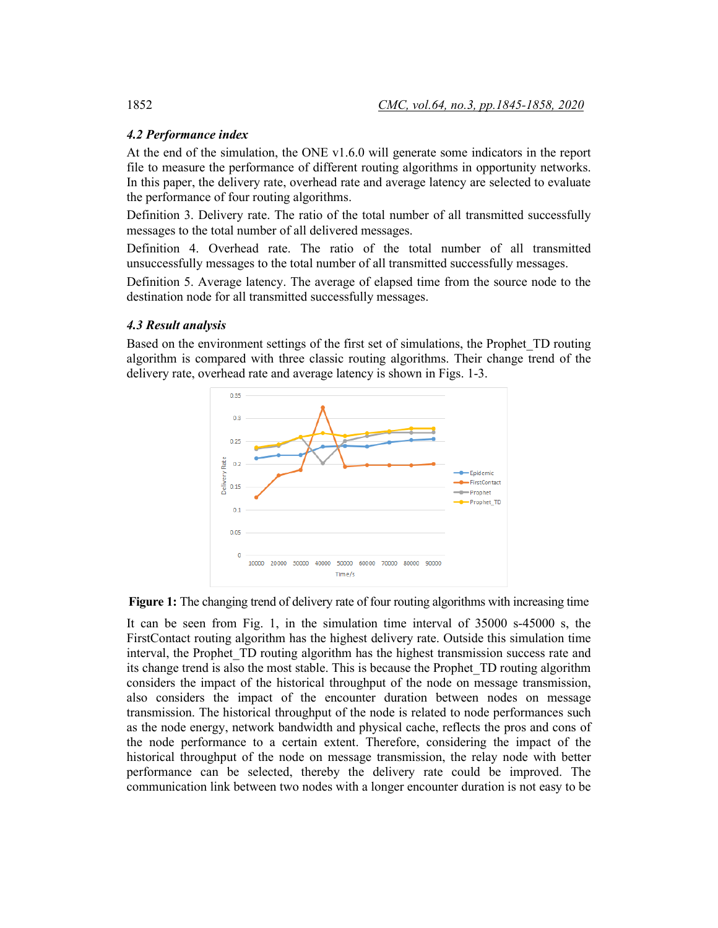# *4.2 Performance index*

At the end of the simulation, the ONE v1.6.0 will generate some indicators in the report file to measure the performance of different routing algorithms in opportunity networks. In this paper, the delivery rate, overhead rate and average latency are selected to evaluate the performance of four routing algorithms.

Definition 3. Delivery rate. The ratio of the total number of all transmitted successfully messages to the total number of all delivered messages.

Definition 4. Overhead rate. The ratio of the total number of all transmitted unsuccessfully messages to the total number of all transmitted successfully messages.

Definition 5. Average latency. The average of elapsed time from the source node to the destination node for all transmitted successfully messages.

## *4.3 Result analysis*

Based on the environment settings of the first set of simulations, the Prophet\_TD routing algorithm is compared with three classic routing algorithms. Their change trend of the delivery rate, overhead rate and average latency is shown in Figs. 1-3.



**Figure 1:** The changing trend of delivery rate of four routing algorithms with increasing time

It can be seen from Fig. 1, in the simulation time interval of 35000 s-45000 s, the FirstContact routing algorithm has the highest delivery rate. Outside this simulation time interval, the Prophet TD routing algorithm has the highest transmission success rate and its change trend is also the most stable. This is because the Prophet\_TD routing algorithm considers the impact of the historical throughput of the node on message transmission, also considers the impact of the encounter duration between nodes on message transmission. The historical throughput of the node is related to node performances such as the node energy, network bandwidth and physical cache, reflects the pros and cons of the node performance to a certain extent. Therefore, considering the impact of the historical throughput of the node on message transmission, the relay node with better performance can be selected, thereby the delivery rate could be improved. The communication link between two nodes with a longer encounter duration is not easy to be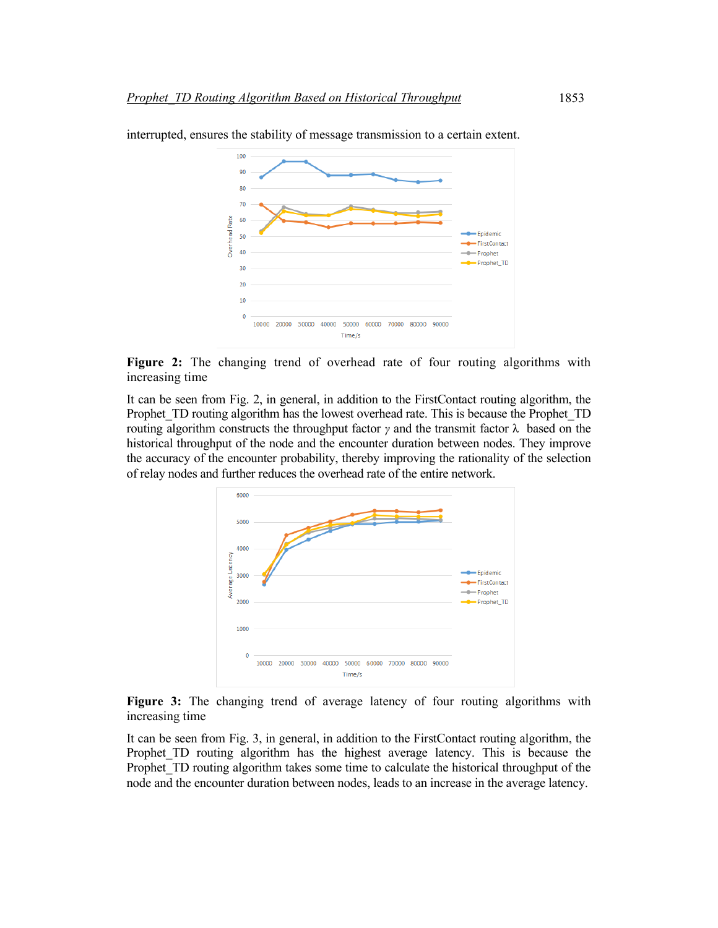

interrupted, ensures the stability of message transmission to a certain extent.

**Figure 2:** The changing trend of overhead rate of four routing algorithms with increasing time

It can be seen from Fig. 2, in general, in addition to the FirstContact routing algorithm, the Prophet TD routing algorithm has the lowest overhead rate. This is because the Prophet TD routing algorithm constructs the throughput factor *γ* and the transmit factor  $\lambda$  based on the historical throughput of the node and the encounter duration between nodes. They improve the accuracy of the encounter probability, thereby improving the rationality of the selection of relay nodes and further reduces the overhead rate of the entire network.



**Figure 3:** The changing trend of average latency of four routing algorithms with increasing time

It can be seen from Fig. 3, in general, in addition to the FirstContact routing algorithm, the Prophet TD routing algorithm has the highest average latency. This is because the Prophet TD routing algorithm takes some time to calculate the historical throughput of the node and the encounter duration between nodes, leads to an increase in the average latency.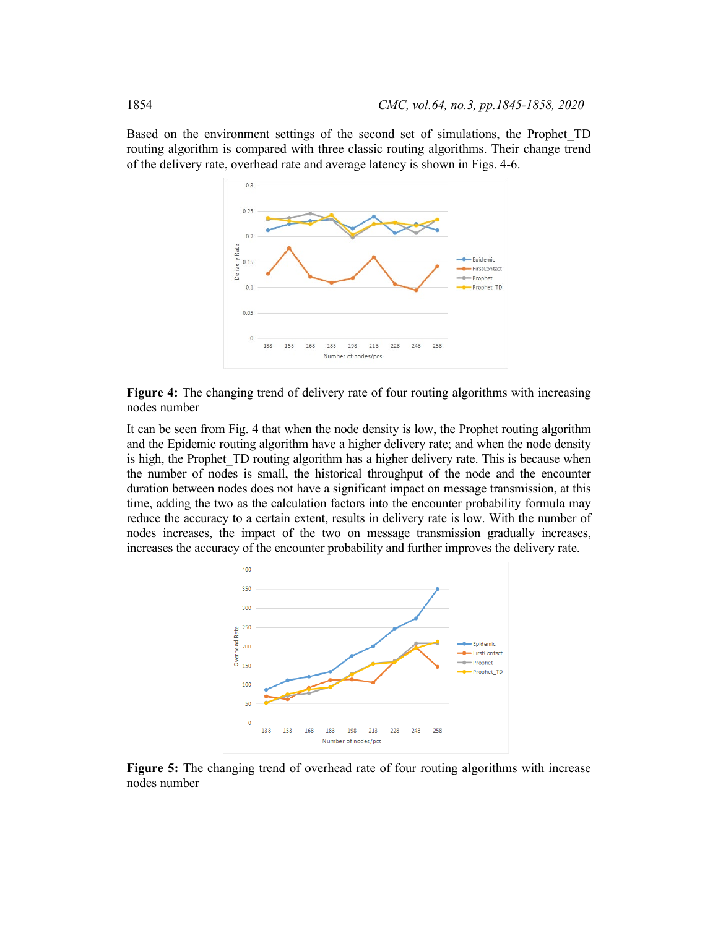Based on the environment settings of the second set of simulations, the Prophet\_TD routing algorithm is compared with three classic routing algorithms. Their change trend of the delivery rate, overhead rate and average latency is shown in Figs. 4-6.



**Figure 4:** The changing trend of delivery rate of four routing algorithms with increasing nodes number

It can be seen from Fig. 4 that when the node density is low, the Prophet routing algorithm and the Epidemic routing algorithm have a higher delivery rate; and when the node density is high, the Prophet TD routing algorithm has a higher delivery rate. This is because when the number of nodes is small, the historical throughput of the node and the encounter duration between nodes does not have a significant impact on message transmission, at this time, adding the two as the calculation factors into the encounter probability formula may reduce the accuracy to a certain extent, results in delivery rate is low. With the number of nodes increases, the impact of the two on message transmission gradually increases, increases the accuracy of the encounter probability and further improves the delivery rate.



**Figure 5:** The changing trend of overhead rate of four routing algorithms with increase nodes number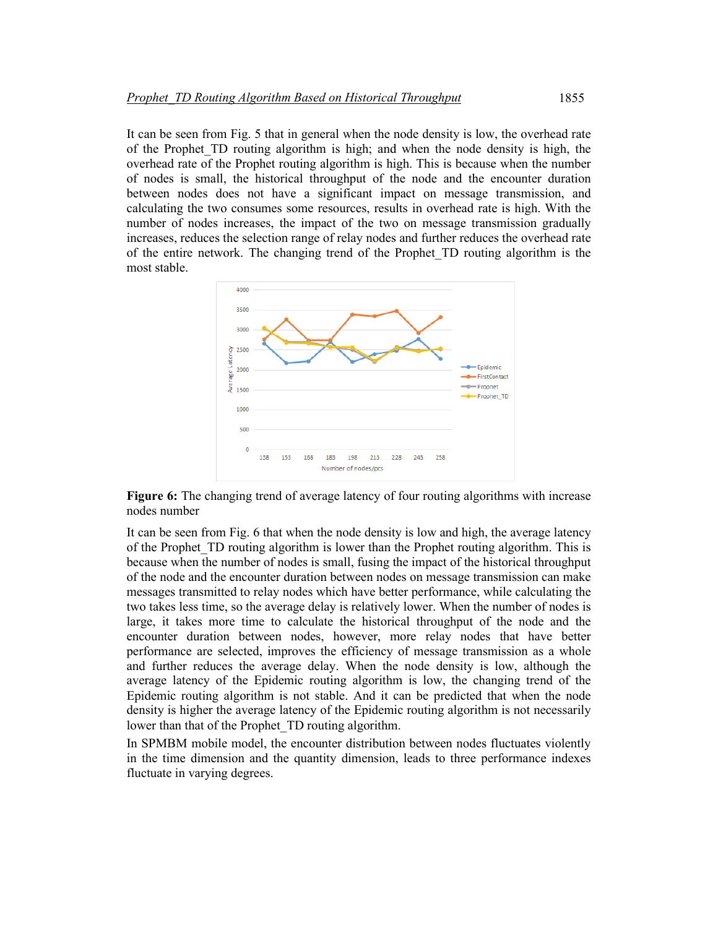It can be seen from Fig. 5 that in general when the node density is low, the overhead rate of the Prophet\_TD routing algorithm is high; and when the node density is high, the overhead rate of the Prophet routing algorithm is high. This is because when the number of nodes is small, the historical throughput of the node and the encounter duration between nodes does not have a significant impact on message transmission, and calculating the two consumes some resources, results in overhead rate is high. With the number of nodes increases, the impact of the two on message transmission gradually increases, reduces the selection range of relay nodes and further reduces the overhead rate of the entire network. The changing trend of the Prophet\_TD routing algorithm is the most stable.



**Figure 6:** The changing trend of average latency of four routing algorithms with increase nodes number

It can be seen from Fig. 6 that when the node density is low and high, the average latency of the Prophet\_TD routing algorithm is lower than the Prophet routing algorithm. This is because when the number of nodes is small, fusing the impact of the historical throughput of the node and the encounter duration between nodes on message transmission can make messages transmitted to relay nodes which have better performance, while calculating the two takes less time, so the average delay is relatively lower. When the number of nodes is large, it takes more time to calculate the historical throughput of the node and the encounter duration between nodes, however, more relay nodes that have better performance are selected, improves the efficiency of message transmission as a whole and further reduces the average delay. When the node density is low, although the average latency of the Epidemic routing algorithm is low, the changing trend of the Epidemic routing algorithm is not stable. And it can be predicted that when the node density is higher the average latency of the Epidemic routing algorithm is not necessarily lower than that of the Prophet\_TD routing algorithm.

In SPMBM mobile model, the encounter distribution between nodes fluctuates violently in the time dimension and the quantity dimension, leads to three performance indexes fluctuate in varying degrees.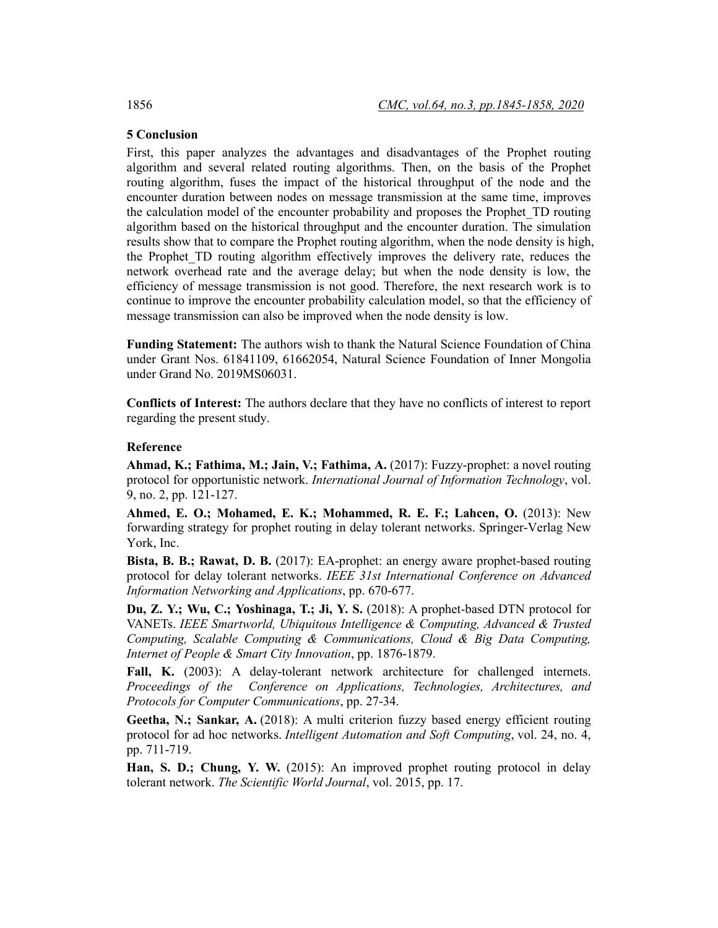# **5 Conclusion**

First, this paper analyzes the advantages and disadvantages of the Prophet routing algorithm and several related routing algorithms. Then, on the basis of the Prophet routing algorithm, fuses the impact of the historical throughput of the node and the encounter duration between nodes on message transmission at the same time, improves the calculation model of the encounter probability and proposes the Prophet\_TD routing algorithm based on the historical throughput and the encounter duration. The simulation results show that to compare the Prophet routing algorithm, when the node density is high, the Prophet\_TD routing algorithm effectively improves the delivery rate, reduces the network overhead rate and the average delay; but when the node density is low, the efficiency of message transmission is not good. Therefore, the next research work is to continue to improve the encounter probability calculation model, so that the efficiency of message transmission can also be improved when the node density is low.

**Funding Statement:** The authors wish to thank the Natural Science Foundation of China under Grant Nos. 61841109, 61662054, Natural Science Foundation of Inner Mongolia under Grand No. 2019MS06031.

**Conflicts of Interest:** The authors declare that they have no conflicts of interest to report regarding the present study.

#### **Reference**

**Ahmad, K.; Fathima, M.; Jain, V.; Fathima, A.** (2017): Fuzzy-prophet: a novel routing protocol for opportunistic network. *International Journal of Information Technology*, vol. 9, no. 2, pp. 121-127.

**Ahmed, E. O.; Mohamed, E. K.; Mohammed, R. E. F.; Lahcen, O.** (2013): New forwarding strategy for prophet routing in delay tolerant networks. Springer-Verlag New York, Inc.

**Bista, B. B.; Rawat, D. B.** (2017): EA-prophet: an energy aware prophet-based routing protocol for delay tolerant networks. *IEEE 31st International Conference on Advanced Information Networking and Applications*, pp. 670-677.

**Du, Z. Y.; Wu, C.; Yoshinaga, T.; Ji, Y. S.** (2018): A prophet-based DTN protocol for VANETs. *IEEE Smartworld, Ubiquitous Intelligence & Computing, Advanced & Trusted Computing, Scalable Computing & Communications, Cloud & Big Data Computing, Internet of People & Smart City Innovation*, pp. 1876-1879.

**Fall, K.** (2003): A delay-tolerant network architecture for challenged internets. *Proceedings of the Conference on Applications, Technologies, Architectures, and Protocols for Computer Communications*, pp. 27-34.

**Geetha, N.; Sankar, A.** (2018): A multi criterion fuzzy based energy efficient routing protocol for ad hoc networks. *Intelligent Automation and Soft Computing*, vol. 24, no. 4, pp. 711-719.

**Han, S. D.; Chung, Y. W.** (2015): An improved prophet routing protocol in delay tolerant network. *The Scientific World Journal*, vol. 2015, pp. 17.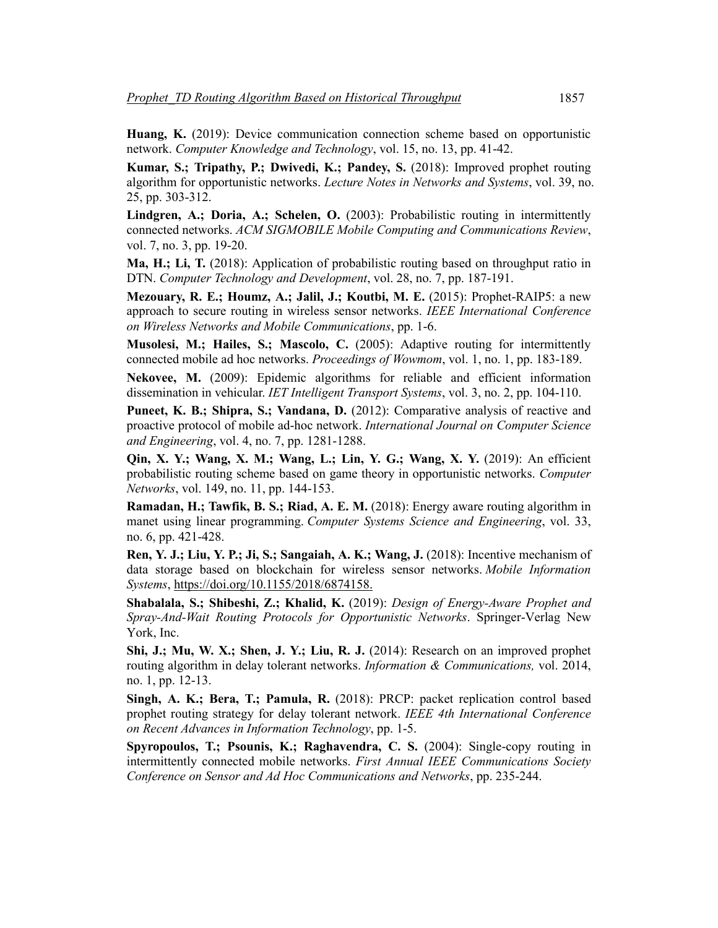**Huang, K.** (2019): Device communication connection scheme based on opportunistic network. *Computer Knowledge and Technology*, vol. 15, no. 13, pp. 41-42.

**Kumar, S.; Tripathy, P.; Dwivedi, K.; Pandey, S.** (2018): Improved prophet routing algorithm for opportunistic networks. *Lecture Notes in Networks and Systems*, vol. 39, no. 25, pp. 303-312.

**Lindgren, A.; Doria, A.; Schelen, O.** (2003): Probabilistic routing in intermittently connected networks. *ACM SIGMOBILE Mobile Computing and Communications Review*, vol. 7, no. 3, pp. 19-20.

**Ma, H.; Li, T.** (2018): Application of probabilistic routing based on throughput ratio in DTN. *Computer Technology and Development*, vol. 28, no. 7, pp. 187-191.

**Mezouary, R. E.; Houmz, A.; Jalil, J.; Koutbi, M. E.** (2015): Prophet-RAIP5: a new approach to secure routing in wireless sensor networks. *IEEE International Conference on Wireless Networks and Mobile Communications*, pp. 1-6.

**Musolesi, M.; Hailes, S.; Mascolo, C.** (2005): Adaptive routing for intermittently connected mobile ad hoc networks. *Proceedings of Wowmom*, vol. 1, no. 1, pp. 183-189.

**Nekovee, M.** (2009): Epidemic algorithms for reliable and efficient information dissemination in vehicular. *IET Intelligent Transport Systems*, vol. 3, no. 2, pp. 104-110.

**Puneet, K. B.; Shipra, S.; Vandana, D.** (2012): Comparative analysis of reactive and proactive protocol of mobile ad-hoc network. *International Journal on Computer Science and Engineering*, vol. 4, no. 7, pp. 1281-1288.

**Qin, X. Y.; Wang, X. M.; Wang, L.; Lin, Y. G.; Wang, X. Y.** (2019): An efficient probabilistic routing scheme based on game theory in opportunistic networks. *Computer Networks*, vol. 149, no. 11, pp. 144-153.

**Ramadan, H.; Tawfik, B. S.; Riad, A. E. M.** (2018): Energy aware routing algorithm in manet using linear programming. *Computer Systems Science and Engineering*, vol. 33, no. 6, pp. 421-428.

**Ren, Y. J.; Liu, Y. P.; Ji, S.; Sangaiah, A. K.; Wang, J.** (2018): Incentive mechanism of data storage based on blockchain for wireless sensor networks. *Mobile Information Systems*, https://doi.org/10.1155/2018/6874158.

**Shabalala, S.; Shibeshi, Z.; Khalid, K.** (2019): *Design of Energy-Aware Prophet and Spray-And-Wait Routing Protocols for Opportunistic Networks*. Springer-Verlag New York, Inc.

**Shi, J.; Mu, W. X.; Shen, J. Y.; Liu, R. J.** (2014): Research on an improved prophet routing algorithm in delay tolerant networks. *Information & Communications,* vol. 2014, no. 1, pp. 12-13.

**Singh, A. K.; Bera, T.; Pamula, R.** (2018): PRCP: packet replication control based prophet routing strategy for delay tolerant network. *IEEE 4th International Conference on Recent Advances in Information Technology*, pp. 1-5.

**Spyropoulos, T.; Psounis, K.; Raghavendra, C. S.** (2004): Single-copy routing in intermittently connected mobile networks. *First Annual IEEE Communications Society Conference on Sensor and Ad Hoc Communications and Networks*, pp. 235-244.